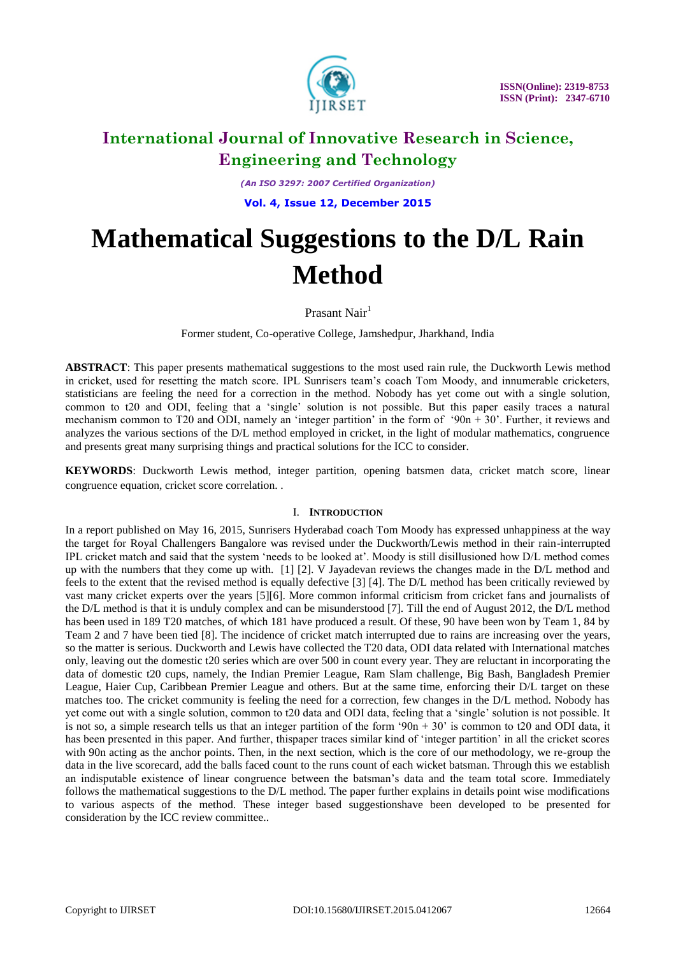

*(An ISO 3297: 2007 Certified Organization)*

**Vol. 4, Issue 12, December 2015**

# **Mathematical Suggestions to the D/L Rain Method**

Prasant Nair<sup>1</sup>

Former student, Co-operative College, Jamshedpur, Jharkhand, India

**ABSTRACT**: This paper presents mathematical suggestions to the most used rain rule, the Duckworth Lewis method in cricket, used for resetting the match score. IPL Sunrisers team"s coach Tom Moody, and innumerable cricketers, statisticians are feeling the need for a correction in the method. Nobody has yet come out with a single solution, common to t20 and ODI, feeling that a "single" solution is not possible. But this paper easily traces a natural mechanism common to T20 and ODI, namely an 'integer partition' in the form of '90n + 30'. Further, it reviews and analyzes the various sections of the D/L method employed in cricket, in the light of modular mathematics, congruence and presents great many surprising things and practical solutions for the ICC to consider.

**KEYWORDS**: Duckworth Lewis method, integer partition, opening batsmen data, cricket match score, linear congruence equation, cricket score correlation. .

### I. **INTRODUCTION**

In a report published on May 16, 2015, Sunrisers Hyderabad coach Tom Moody has expressed unhappiness at the way the target for Royal Challengers Bangalore was revised under the Duckworth/Lewis method in their rain-interrupted IPL cricket match and said that the system "needs to be looked at". Moody is still disillusioned how D/L method comes up with the numbers that they come up with. [1] [2]. V Jayadevan reviews the changes made in the D/L method and feels to the extent that the revised method is equally defective [3] [4]. The D/L method has been critically reviewed by vast many cricket experts over the years [5][6]. More common informal criticism from cricket fans and journalists of the D/L method is that it is unduly complex and can be misunderstood [7]. Till the end of August 2012, the D/L method has been used in 189 T20 matches, of which 181 have produced a result. Of these, 90 have been won by Team 1, 84 by Team 2 and 7 have been tied [8]. The incidence of cricket match interrupted due to rains are increasing over the years, so the matter is serious. Duckworth and Lewis have collected the T20 data, ODI data related with International matches only, leaving out the domestic t20 series which are over 500 in count every year. They are reluctant in incorporating the data of domestic t20 cups, namely, the Indian Premier League, Ram Slam challenge, Big Bash, Bangladesh Premier League, Haier Cup, Caribbean Premier League and others. But at the same time, enforcing their D/L target on these matches too. The cricket community is feeling the need for a correction, few changes in the D/L method. Nobody has yet come out with a single solution, common to t20 data and ODI data, feeling that a "single" solution is not possible. It is not so, a simple research tells us that an integer partition of the form '90n + 30' is common to t20 and ODI data, it has been presented in this paper. And further, thispaper traces similar kind of "integer partition" in all the cricket scores with 90n acting as the anchor points. Then, in the next section, which is the core of our methodology, we re-group the data in the live scorecard, add the balls faced count to the runs count of each wicket batsman. Through this we establish an indisputable existence of linear congruence between the batsman"s data and the team total score. Immediately follows the mathematical suggestions to the D/L method. The paper further explains in details point wise modifications to various aspects of the method. These integer based suggestionshave been developed to be presented for consideration by the ICC review committee..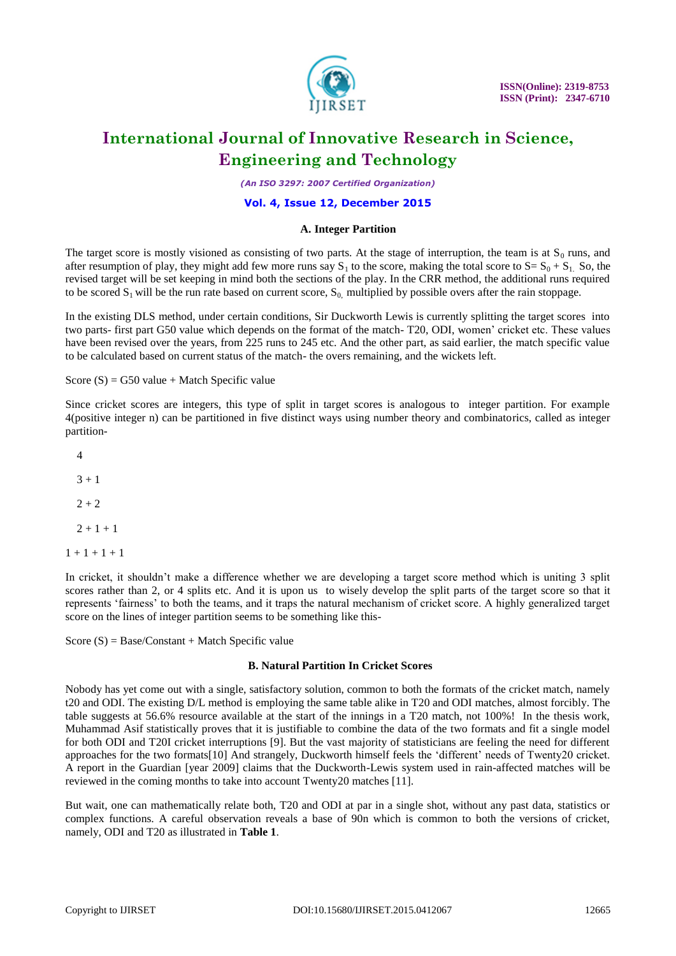

*(An ISO 3297: 2007 Certified Organization)*

#### **Vol. 4, Issue 12, December 2015**

#### **A. Integer Partition**

The target score is mostly visioned as consisting of two parts. At the stage of interruption, the team is at  $S_0$  runs, and after resumption of play, they might add few more runs say  $S_1$  to the score, making the total score to  $S = S_0 + S_1$ . So, the revised target will be set keeping in mind both the sections of the play. In the CRR method, the additional runs required to be scored  $S_1$  will be the run rate based on current score,  $S_0$  multiplied by possible overs after the rain stoppage.

In the existing DLS method, under certain conditions, Sir Duckworth Lewis is currently splitting the target scores into two parts- first part G50 value which depends on the format of the match- T20, ODI, women" cricket etc. These values have been revised over the years, from 225 runs to 245 etc. And the other part, as said earlier, the match specific value to be calculated based on current status of the match- the overs remaining, and the wickets left.

Score  $(S) = G50$  value + Match Specific value

Since cricket scores are integers, this type of split in target scores is analogous to integer partition. For example 4(positive integer n) can be partitioned in five distinct ways using number theory and combinatorics, called as integer partition-

In cricket, it shouldn't make a difference whether we are developing a target score method which is uniting 3 split scores rather than 2, or 4 splits etc. And it is upon us to wisely develop the split parts of the target score so that it represents "fairness" to both the teams, and it traps the natural mechanism of cricket score. A highly generalized target score on the lines of integer partition seems to be something like this-

Score  $(S) = Base/Constant + Match Specific value$ 

#### **B. Natural Partition In Cricket Scores**

Nobody has yet come out with a single, satisfactory solution, common to both the formats of the cricket match, namely t20 and ODI. The existing D/L method is employing the same table alike in T20 and ODI matches, almost forcibly. The table suggests at 56.6% resource available at the start of the innings in a T20 match, not 100%! In the thesis work, Muhammad Asif statistically proves that it is justifiable to combine the data of the two formats and fit a single model for both ODI and T20I cricket interruptions [9]. But the vast majority of statisticians are feeling the need for different approaches for the two formats[10] And strangely, Duckworth himself feels the "different" needs of Twenty20 cricket. A report in the Guardian [year 2009] claims that the Duckworth-Lewis system used in rain-affected matches will be reviewed in the coming months to take into account Twenty20 matches [11].

But wait, one can mathematically relate both, T20 and ODI at par in a single shot, without any past data, statistics or complex functions. A careful observation reveals a base of 90n which is common to both the versions of cricket, namely, ODI and T20 as illustrated in **Table 1**.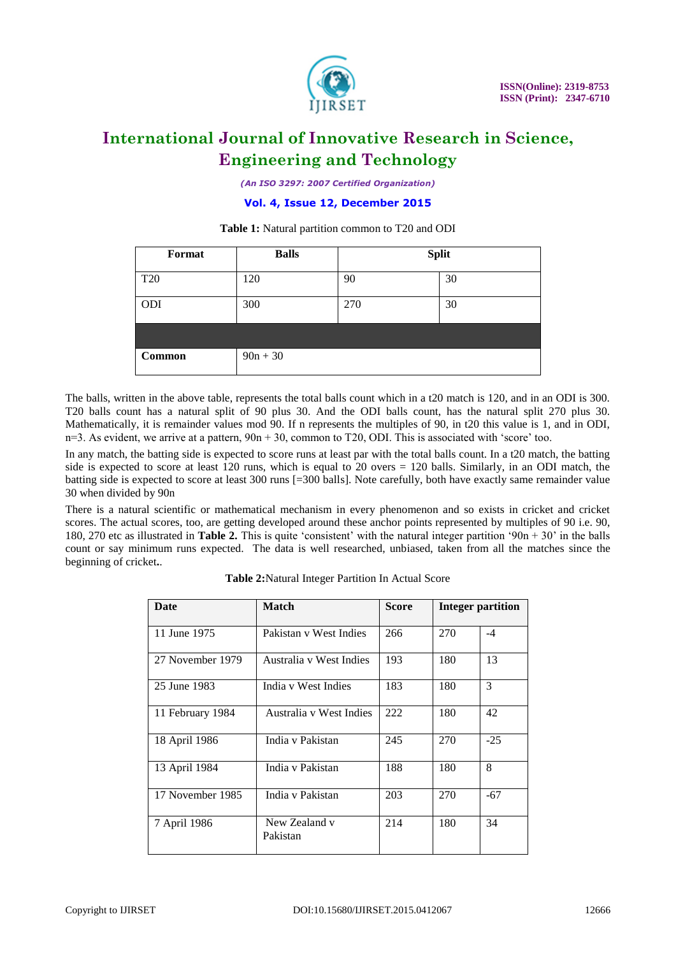

*(An ISO 3297: 2007 Certified Organization)*

**Vol. 4, Issue 12, December 2015**

| Format | <b>Balls</b> | <b>Split</b> |    |  |
|--------|--------------|--------------|----|--|
| T20    | 120          | 90           | 30 |  |
| ODI    | 300          | 270          | 30 |  |
|        |              |              |    |  |
| Common | $90n + 30$   |              |    |  |

**Table 1:** Natural partition common to T20 and ODI

The balls, written in the above table, represents the total balls count which in a t20 match is 120, and in an ODI is 300. T20 balls count has a natural split of 90 plus 30. And the ODI balls count, has the natural split 270 plus 30. Mathematically, it is remainder values mod 90. If n represents the multiples of 90, in t20 this value is 1, and in ODI,  $n=3$ . As evident, we arrive at a pattern,  $90n + 30$ , common to T20, ODI. This is associated with 'score' too.

In any match, the batting side is expected to score runs at least par with the total balls count. In a t20 match, the batting side is expected to score at least 120 runs, which is equal to 20 overs = 120 balls. Similarly, in an ODI match, the batting side is expected to score at least 300 runs [=300 balls]. Note carefully, both have exactly same remainder value 30 when divided by 90n

There is a natural scientific or mathematical mechanism in every phenomenon and so exists in cricket and cricket scores. The actual scores, too, are getting developed around these anchor points represented by multiples of 90 i.e. 90, 180, 270 etc as illustrated in **Table 2.** This is quite "consistent" with the natural integer partition "90n + 30" in the balls count or say minimum runs expected. The data is well researched, unbiased, taken from all the matches since the beginning of cricket**.**.

| Date             | <b>Match</b>              | <b>Score</b> | <b>Integer partition</b> |               |
|------------------|---------------------------|--------------|--------------------------|---------------|
| 11 June 1975     | Pakistan v West Indies    | 266          | 270                      | $-4$          |
| 27 November 1979 | Australia y West Indies   | 193          | 180                      | 13            |
| 25 June 1983     | India y West Indies       | 183          | 180                      | $\mathcal{F}$ |
| 11 February 1984 | Australia y West Indies   | 222          | 180                      | 42            |
| 18 April 1986    | India v Pakistan          | 245          | 270                      | $-25$         |
| 13 April 1984    | India v Pakistan          | 188          | 180                      | 8             |
| 17 November 1985 | India y Pakistan          | 203          | 270                      | $-67$         |
| 7 April 1986     | New Zealand v<br>Pakistan | 214          | 180                      | 34            |

**Table 2:**Natural Integer Partition In Actual Score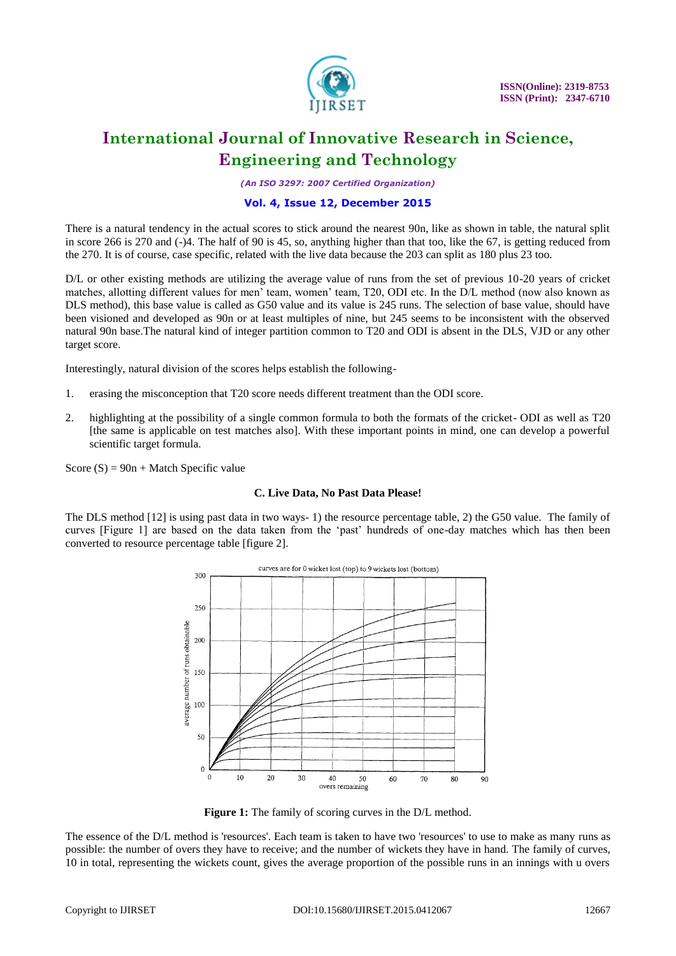

*(An ISO 3297: 2007 Certified Organization)*

#### **Vol. 4, Issue 12, December 2015**

There is a natural tendency in the actual scores to stick around the nearest 90n, like as shown in table, the natural split in score 266 is 270 and (-)4. The half of 90 is 45, so, anything higher than that too, like the 67, is getting reduced from the 270. It is of course, case specific, related with the live data because the 203 can split as 180 plus 23 too.

D/L or other existing methods are utilizing the average value of runs from the set of previous 10-20 years of cricket matches, allotting different values for men" team, women" team, T20, ODI etc. In the D/L method (now also known as DLS method), this base value is called as G50 value and its value is 245 runs. The selection of base value, should have been visioned and developed as 90n or at least multiples of nine, but 245 seems to be inconsistent with the observed natural 90n base.The natural kind of integer partition common to T20 and ODI is absent in the DLS, VJD or any other target score.

Interestingly, natural division of the scores helps establish the following-

- 1. erasing the misconception that T20 score needs different treatment than the ODI score.
- 2. highlighting at the possibility of a single common formula to both the formats of the cricket- ODI as well as T20 [the same is applicable on test matches also]. With these important points in mind, one can develop a powerful scientific target formula.

Score  $(S) = 90n + Match Specific value$ 

#### **C. Live Data, No Past Data Please!**

The DLS method [12] is using past data in two ways- 1) the resource percentage table, 2) the G50 value. The family of curves [Figure 1] are based on the data taken from the "past" hundreds of one-day matches which has then been converted to resource percentage table [figure 2].



**Figure 1:** The family of scoring curves in the D/L method.

The essence of the D/L method is 'resources'. Each team is taken to have two 'resources' to use to make as many [runs](https://en.wikipedia.org/wiki/Run_(cricket)) as possible: the number of [overs](https://en.wikipedia.org/wiki/Over_(cricket)) they have to receive; and the number of [wickets](https://en.wikipedia.org/wiki/Wicket) they have in hand. The family of curves, 10 in total, representing the wickets count, gives the average proportion of the possible runs in an innings with u overs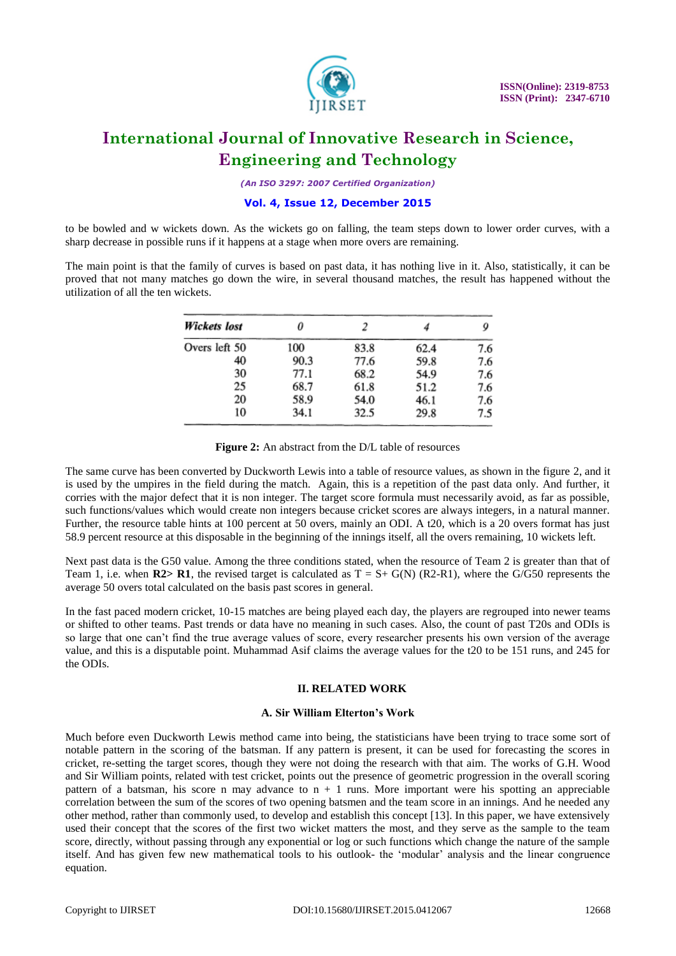

*(An ISO 3297: 2007 Certified Organization)*

### **Vol. 4, Issue 12, December 2015**

to be bowled and w wickets down. As the wickets go on falling, the team steps down to lower order curves, with a sharp decrease in possible runs if it happens at a stage when more overs are remaining.

The main point is that the family of curves is based on past data, it has nothing live in it. Also, statistically, it can be proved that not many matches go down the wire, in several thousand matches, the result has happened without the utilization of all the ten wickets.

| Wickets lost  | 0           |      |      | 9   |
|---------------|-------------|------|------|-----|
| Overs left 50 | 83.8<br>100 |      | 62.4 | 7.6 |
| 40            | 90.3        | 77.6 | 59.8 | 7.6 |
| 30            | 77.1        | 68.2 | 54.9 | 7.6 |
| 25            | 68.7        | 61.8 | 51.2 | 7.6 |
| 20            | 58.9        | 54.0 | 46.1 | 7.6 |
| 10            | 34.1        | 32.5 | 29.8 | 7.5 |

Figure 2: An abstract from the D/L table of resources

The same curve has been converted by Duckworth Lewis into a table of resource values, as shown in the figure 2, and it is used by the umpires in the field during the match. Again, this is a repetition of the past data only. And further, it corries with the major defect that it is non integer. The target score formula must necessarily avoid, as far as possible, such functions/values which would create non integers because cricket scores are always integers, in a natural manner. Further, the resource table hints at 100 percent at 50 overs, mainly an ODI. A t20, which is a 20 overs format has just 58.9 percent resource at this disposable in the beginning of the innings itself, all the overs remaining, 10 wickets left.

Next past data is the G50 value. Among the three conditions stated, when the resource of Team 2 is greater than that of Team 1, i.e. when  $R2> R1$ , the revised target is calculated as  $T = S + G(N)$  (R2-R1), where the  $G/G50$  represents the average 50 overs total calculated on the basis past scores in general.

In the fast paced modern cricket, 10-15 matches are being played each day, the players are regrouped into newer teams or shifted to other teams. Past trends or data have no meaning in such cases. Also, the count of past T20s and ODIs is so large that one can"t find the true average values of score, every researcher presents his own version of the average value, and this is a disputable point. Muhammad Asif claims the average values for the t20 to be 151 runs, and 245 for the ODIs.

#### **II. RELATED WORK**

#### **A. Sir William Elterton's Work**

Much before even Duckworth Lewis method came into being, the statisticians have been trying to trace some sort of notable pattern in the scoring of the batsman. If any pattern is present, it can be used for forecasting the scores in cricket, re-setting the target scores, though they were not doing the research with that aim. The works of G.H. Wood and Sir William points, related with test cricket, points out the presence of geometric progression in the overall scoring pattern of a batsman, his score n may advance to  $n + 1$  runs. More important were his spotting an appreciable correlation between the sum of the scores of two opening batsmen and the team score in an innings. And he needed any other method, rather than commonly used, to develop and establish this concept [13]. In this paper, we have extensively used their concept that the scores of the first two wicket matters the most, and they serve as the sample to the team score, directly, without passing through any exponential or log or such functions which change the nature of the sample itself. And has given few new mathematical tools to his outlook- the "modular" analysis and the linear congruence equation.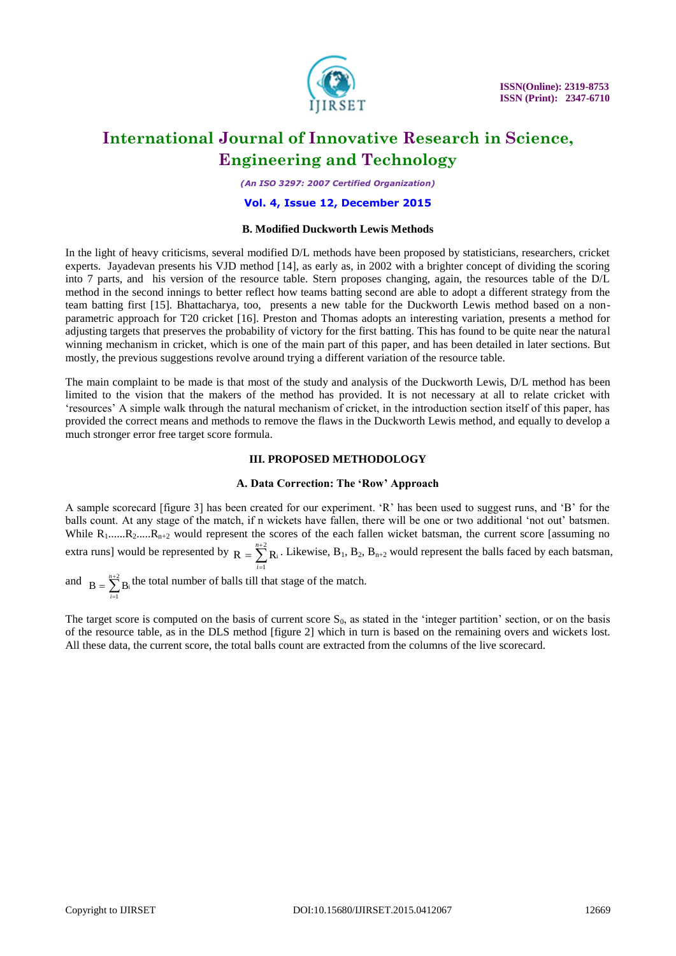

*(An ISO 3297: 2007 Certified Organization)*

#### **Vol. 4, Issue 12, December 2015**

#### **B. Modified Duckworth Lewis Methods**

In the light of heavy criticisms, several modified D/L methods have been proposed by statisticians, researchers, cricket experts. Jayadevan presents his VJD method [14], as early as, in 2002 with a brighter concept of dividing the scoring into 7 parts, and his version of the resource table. Stern proposes changing, again, the resources table of the D/L method in the second innings to better reflect how teams batting second are able to adopt a different strategy from the team batting first [15]. Bhattacharya, too, presents a new table for the Duckworth Lewis method based on a nonparametric approach for T20 cricket [16]. Preston and Thomas adopts an interesting variation, presents a method for adjusting targets that preserves the probability of victory for the first batting. This has found to be quite near the natural winning mechanism in cricket, which is one of the main part of this paper, and has been detailed in later sections. But mostly, the previous suggestions revolve around trying a different variation of the resource table.

The main complaint to be made is that most of the study and analysis of the Duckworth Lewis, D/L method has been limited to the vision that the makers of the method has provided. It is not necessary at all to relate cricket with "resources" A simple walk through the natural mechanism of cricket, in the introduction section itself of this paper, has provided the correct means and methods to remove the flaws in the Duckworth Lewis method, and equally to develop a much stronger error free target score formula.

#### **III. PROPOSED METHODOLOGY**

#### **A. Data Correction: The 'Row' Approach**

A sample scorecard [figure 3] has been created for our experiment. "R" has been used to suggest runs, and "B" for the balls count. At any stage of the match, if n wickets have fallen, there will be one or two additional "not out" batsmen. While  $R_1$ ...... $R_2$ ...... $R_{n+2}$  would represent the scores of the each fallen wicket batsman, the current score [assuming no extra runs] would be represented by  $R = \sum_{i=1}^{n+2} R_i$ . Likewise,  $B_1, B_2, B_{n+2}$  would represent the balls faced by each batsman,  $=$  $= \sum_{n=1}^{n+2}$ 1  $R = \sum_{i=1}^{n+2} R_i$ *i*

and  $B = \sum_{n=1}^{\infty} B_i$  the total number of balls till that stage of the match.  $=$ 1 *i*

The target score is computed on the basis of current score  $S_0$ , as stated in the 'integer partition' section, or on the basis of the resource table, as in the DLS method [figure 2] which in turn is based on the remaining overs and wickets lost. All these data, the current score, the total balls count are extracted from the columns of the live scorecard.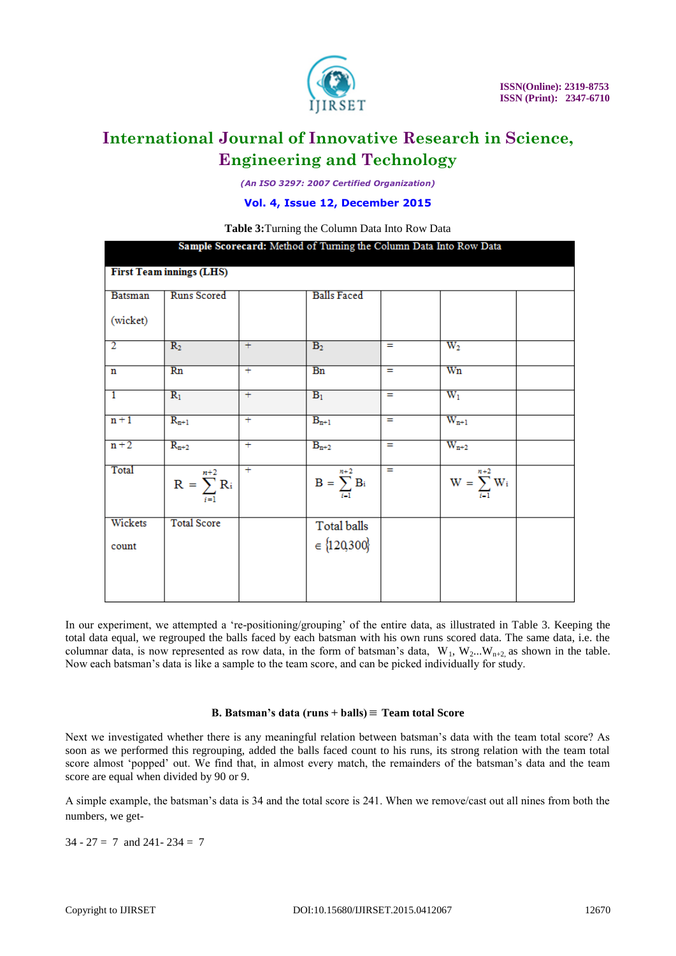

*(An ISO 3297: 2007 Certified Organization)*

**Vol. 4, Issue 12, December 2015**

| Table 3: Turning the Column Data Into Row Data                    |                            |                |                               |     |                                   |  |  |  |
|-------------------------------------------------------------------|----------------------------|----------------|-------------------------------|-----|-----------------------------------|--|--|--|
| Sample Scorecard: Method of Turning the Column Data Into Row Data |                            |                |                               |     |                                   |  |  |  |
| <b>First Team innings (LHS)</b>                                   |                            |                |                               |     |                                   |  |  |  |
| <b>Batsman</b>                                                    | <b>Runs Scored</b>         |                | <b>Balls Faced</b>            |     |                                   |  |  |  |
| (wicket)                                                          |                            |                |                               |     |                                   |  |  |  |
| $\overline{2}$                                                    | $R_2$                      | $+$            | B <sub>2</sub>                | $=$ | $W_2$                             |  |  |  |
| n                                                                 | Rn                         | $+$            | Bn                            | $=$ | Wn                                |  |  |  |
| $\overline{1}$                                                    | $\overline{R_1}$           | $^{+}$         | $B_1$                         | $=$ | $\overline{W_1}$                  |  |  |  |
| $n + 1$                                                           | $R_{n+1}$                  | $\overline{+}$ | $B_{n+1}$                     | $=$ | $W_{n+1}$                         |  |  |  |
| $n + 2$                                                           | $R_{n+2}$                  | Ŧ              | $B_{n+2}$                     | Ξ   | $W_{n+2}$                         |  |  |  |
| Total                                                             | $R = \sum_{i=1}^{n+2} R_i$ | Ŧ              | $n+2$<br>$B = \sum_{i,j} B_i$ | $=$ | $n+2$<br>$W = \sum_{i=1}^{n} W_i$ |  |  |  |
| Wickets                                                           | <b>Total Score</b>         |                | Total balls                   |     |                                   |  |  |  |
| count                                                             |                            |                | $\in \{120,300\}$             |     |                                   |  |  |  |
|                                                                   |                            |                |                               |     |                                   |  |  |  |
|                                                                   |                            |                |                               |     |                                   |  |  |  |

In our experiment, we attempted a "re-positioning/grouping" of the entire data, as illustrated in Table 3. Keeping the total data equal, we regrouped the balls faced by each batsman with his own runs scored data. The same data, i.e. the columnar data, is now represented as row data, in the form of batsman's data,  $W_1, W_2...W_{n+2}$  as shown in the table. Now each batsman"s data is like a sample to the team score, and can be picked individually for study.

### **B. Batsman's data (runs + balls) Team total Score**

Next we investigated whether there is any meaningful relation between batsman"s data with the team total score? As soon as we performed this regrouping, added the balls faced count to his runs, its strong relation with the team total score almost 'popped' out. We find that, in almost every match, the remainders of the batsman's data and the team score are equal when divided by 90 or 9.

A simple example, the batsman"s data is 34 and the total score is 241. When we remove/cast out all nines from both the numbers, we get-

 $34 - 27 = 7$  and  $241 - 234 = 7$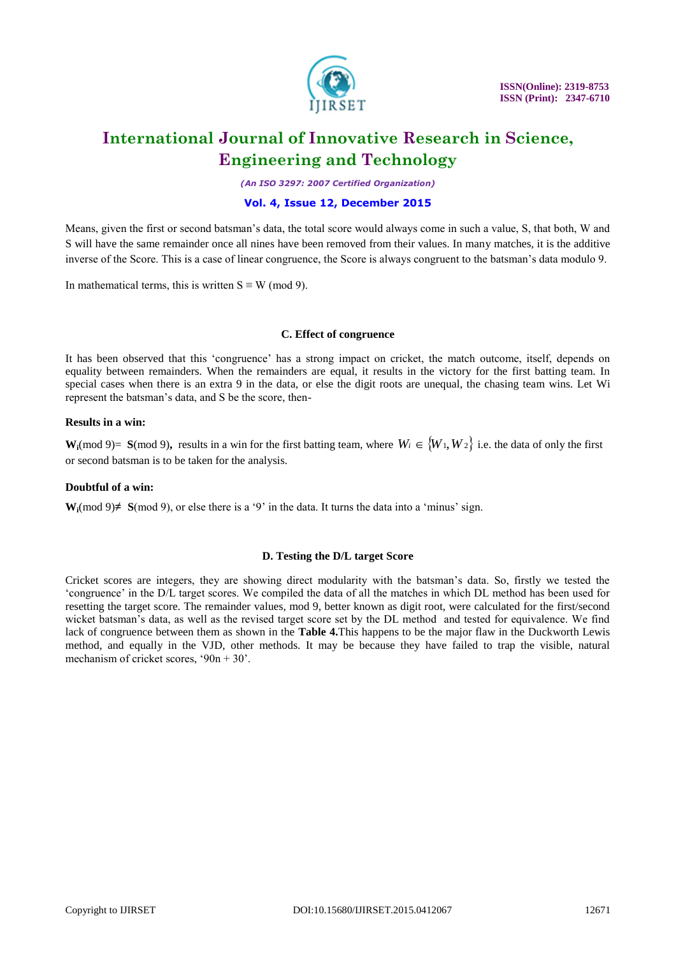

*(An ISO 3297: 2007 Certified Organization)*

### **Vol. 4, Issue 12, December 2015**

Means, given the first or second batsman"s data, the total score would always come in such a value, S, that both, W and S will have the same remainder once all nines have been removed from their values. In many matches, it is the additive inverse of the Score. This is a case of linear congruence, the Score is always congruent to the batsman"s data modulo 9.

In mathematical terms, this is written  $S \equiv W \pmod{9}$ .

#### **C. Effect of congruence**

It has been observed that this 'congruence' has a strong impact on cricket, the match outcome, itself, depends on equality between remainders. When the remainders are equal, it results in the victory for the first batting team. In special cases when there is an extra 9 in the data, or else the digit roots are unequal, the chasing team wins. Let Wi represent the batsman"s data, and S be the score, then-

#### **Results in a win:**

**W**<sub>i</sub>(mod 9)= **S**(mod 9), results in a win for the first batting team, where  $W_i \in \{W_1, W_2\}$  i.e. the data of only the first or second batsman is to be taken for the analysis.

#### **Doubtful of a win:**

**W**<sub>i</sub>(mod 9)≠ **S**(mod 9), or else there is a '9' in the data. It turns the data into a 'minus' sign.

#### **D. Testing the D/L target Score**

Cricket scores are integers, they are showing direct modularity with the batsman"s data. So, firstly we tested the "congruence" in the D/L target scores. We compiled the data of all the matches in which DL method has been used for resetting the target score. The remainder values, mod 9, better known as digit root, were calculated for the first/second wicket batsman"s data, as well as the revised target score set by the DL method and tested for equivalence. We find lack of congruence between them as shown in the **Table 4.**This happens to be the major flaw in the Duckworth Lewis method, and equally in the VJD, other methods. It may be because they have failed to trap the visible, natural mechanism of cricket scores, '90n + 30'.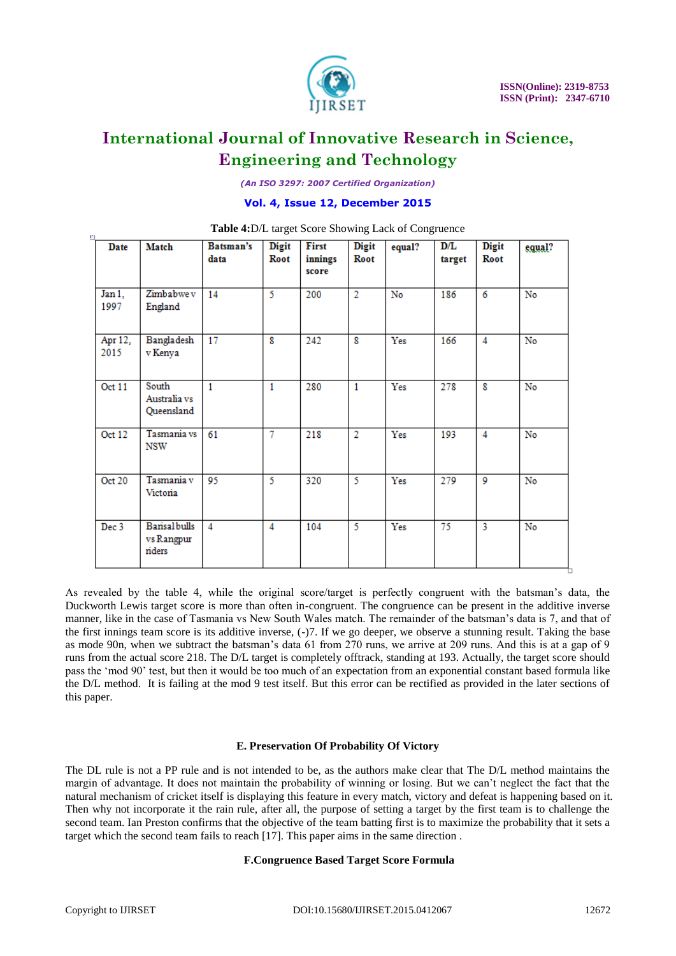

*(An ISO 3297: 2007 Certified Organization)*

#### **Vol. 4, Issue 12, December 2015**

| 븨                | $\frac{1}{2}$ and $\frac{1}{2}$ and $\frac{1}{2}$ are set of $\frac{1}{2}$ and $\frac{1}{2}$ and $\frac{1}{2}$ are set of $\frac{1}{2}$ |                   |                      |                           |                      |        |               |                      |        |
|------------------|-----------------------------------------------------------------------------------------------------------------------------------------|-------------------|----------------------|---------------------------|----------------------|--------|---------------|----------------------|--------|
| Date             | Match                                                                                                                                   | Batsman's<br>data | <b>Digit</b><br>Root | First<br>innings<br>score | <b>Digit</b><br>Root | equal? | D/L<br>target | <b>Digit</b><br>Root | equal? |
| Jan 1,<br>1997   | Zimbabwe v<br>England                                                                                                                   | 14                | 5                    | 200                       | $\overline{2}$       | No     | 186           | 6                    | No     |
| Apr 12,<br>2015  | Bangladesh<br>v Kenya                                                                                                                   | 17                | 8                    | 242                       | 8                    | Yes    | 166           | 4                    | No     |
| Oct 11           | South<br>Australia vs<br>Queensland                                                                                                     | $\mathbf{1}$      | $\mathbf{1}$         | 280                       | $\mathbf{1}$         | Yes    | 278           | 8                    | No     |
| Oct 12           | Tasmania vs<br>NSW                                                                                                                      | 61                | 7                    | 218                       | $\overline{2}$       | Yes    | 193           | 4                    | No     |
| Oct 20           | Tasmania v<br>Victoria                                                                                                                  | 95                | 5.                   | 320                       | 5.                   | Yes    | 279           | 9                    | No     |
| Dec <sub>3</sub> | <b>Barisal bulls</b><br>vs Rangpur<br>riders                                                                                            | 4                 | 4                    | 104                       | 5                    | Yes    | 75            | 3                    | No     |

#### **Table 4:**D/L target Score Showing Lack of Congruence

As revealed by the table 4, while the original score/target is perfectly congruent with the batsman"s data, the Duckworth Lewis target score is more than often in-congruent. The congruence can be present in the additive inverse manner, like in the case of Tasmania vs New South Wales match. The remainder of the batsman"s data is 7, and that of the first innings team score is its additive inverse, (-)7. If we go deeper, we observe a stunning result. Taking the base as mode 90n, when we subtract the batsman"s data 61 from 270 runs, we arrive at 209 runs. And this is at a gap of 9 runs from the actual score 218. The D/L target is completely offtrack, standing at 193. Actually, the target score should pass the "mod 90" test, but then it would be too much of an expectation from an exponential constant based formula like the D/L method. It is failing at the mod 9 test itself. But this error can be rectified as provided in the later sections of this paper.

#### **E. Preservation Of Probability Of Victory**

The DL rule is not a PP rule and is not intended to be, as the authors make clear that The D/L method maintains the margin of advantage. It does not maintain the probability of winning or losing. But we can"t neglect the fact that the natural mechanism of cricket itself is displaying this feature in every match, victory and defeat is happening based on it. Then why not incorporate it the rain rule, after all, the purpose of setting a target by the first team is to challenge the second team. Ian Preston confirms that the objective of the team batting first is to maximize the probability that it sets a target which the second team fails to reach [17]. This paper aims in the same direction .

#### **F.Congruence Based Target Score Formula**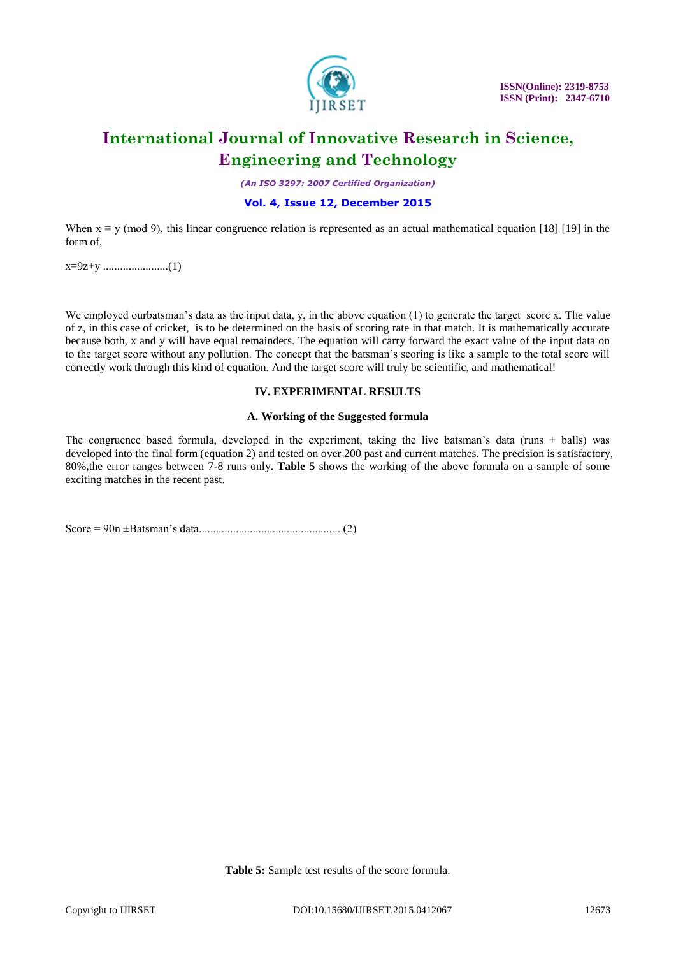

*(An ISO 3297: 2007 Certified Organization)*

### **Vol. 4, Issue 12, December 2015**

When  $x \equiv y \pmod{9}$ , this linear congruence relation is represented as an actual mathematical equation [18] [19] in the form of,

x=9z+y .......................(1)

We employed ourbatsman's data as the input data, y, in the above equation (1) to generate the target score x. The value of z, in this case of cricket, is to be determined on the basis of scoring rate in that match. It is mathematically accurate because both, x and y will have equal remainders. The equation will carry forward the exact value of the input data on to the target score without any pollution. The concept that the batsman"s scoring is like a sample to the total score will correctly work through this kind of equation. And the target score will truly be scientific, and mathematical!

#### **IV. EXPERIMENTAL RESULTS**

#### **A. Working of the Suggested formula**

The congruence based formula, developed in the experiment, taking the live batsman's data (runs + balls) was developed into the final form (equation 2) and tested on over 200 past and current matches. The precision is satisfactory, 80%,the error ranges between 7-8 runs only. **Table 5** shows the working of the above formula on a sample of some exciting matches in the recent past.

Score = 90n ±Batsman"s data...................................................(2)

**Table 5:** Sample test results of the score formula.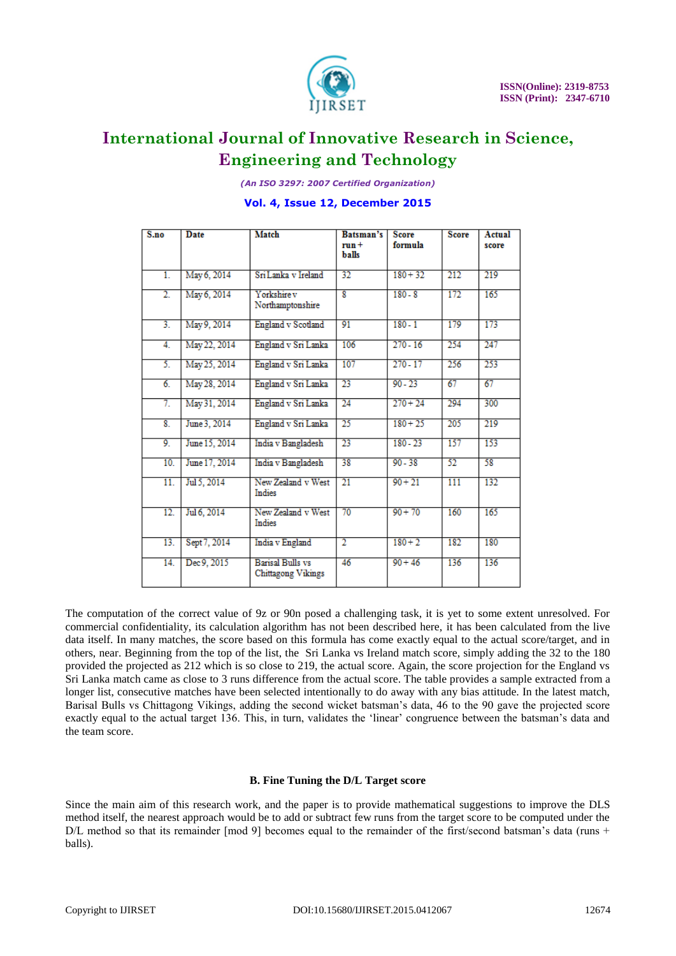

*(An ISO 3297: 2007 Certified Organization)*

#### **Vol. 4, Issue 12, December 2015**

| S.no              | <b>Date</b>   | <b>Match</b>                                  | Batsman's<br>$run +$<br>balls | <b>Score</b><br>formula | <b>Score</b>     | Actual<br>score |
|-------------------|---------------|-----------------------------------------------|-------------------------------|-------------------------|------------------|-----------------|
| T.                | May 6, 2014   | Sri Lanka v Ireland                           | 32                            | $180 + 32$              | 212              | 219             |
| $\overline{2}$ .  | May 6, 2014   | Yorkshire v<br>Northamptonshire               | $\overline{\mathbf{x}}$       | $180 - 8$               | 172              | 165             |
| $\overline{3}$ .  | May 9, 2014   | England v Scotland                            | 91                            | $180 - 1$               | 179              | 173             |
| $\overline{4}$ .  | May 22, 2014  | England v Sri Lanka                           | 106                           | $270 - 16$              | 254              | 247             |
| 5.                | May 25, 2014  | England v Sri Lanka                           | 107                           | $270 - 17$              | 256              | 253             |
| 6.                | May 28, 2014  | England v Sri Lanka                           | 23                            | $90 - 23$               | 67               | 67              |
| 7.                | May 31, 2014  | England v Sri Lanka                           | $\overline{24}$               | $270 + 24$              | 294              | 300             |
| $\overline{8}$ .  | June 3, 2014  | England v Sri Lanka                           | 25                            | $180 + 25$              | 205              | 219             |
| 9.                | June 15, 2014 | India v Bangladesh                            | 23                            | $180 - 23$              | 157              | 153             |
| 10.               | June 17, 2014 | India v Bangladesh                            | 38                            | $90 - 38$               | 52               | 58              |
| $\overline{11}$ . | Jul 5, 2014   | New Zealand v West<br><b>Indies</b>           | $\overline{21}$               | $90 + 21$               | $\overline{111}$ | 132             |
| 12.               | Jul 6, 2014   | New Zealand v West<br>Indies                  | 70                            | $90 + 70$               | 160              | 165             |
| 13.               | Sept 7, 2014  | India v England                               | $\overline{2}$                | $180 + 2$               | 182              | 180             |
| 14.               | Dec 9, 2015   | <b>Barisal Bulls vs</b><br>Chittagong Vikings | 46                            | $90 + 46$               | 136              | 136             |

The computation of the correct value of 9z or 90n posed a challenging task, it is yet to some extent unresolved. For commercial confidentiality, its calculation algorithm has not been described here, it has been calculated from the live data itself. In many matches, the score based on this formula has come exactly equal to the actual score/target, and in others, near. Beginning from the top of the list, the Sri Lanka vs Ireland match score, simply adding the 32 to the 180 provided the projected as 212 which is so close to 219, the actual score. Again, the score projection for the England vs Sri Lanka match came as close to 3 runs difference from the actual score. The table provides a sample extracted from a longer list, consecutive matches have been selected intentionally to do away with any bias attitude. In the latest match, Barisal Bulls vs Chittagong Vikings, adding the second wicket batsman"s data, 46 to the 90 gave the projected score exactly equal to the actual target 136. This, in turn, validates the "linear" congruence between the batsman"s data and the team score.

#### **B. Fine Tuning the D/L Target score**

Since the main aim of this research work, and the paper is to provide mathematical suggestions to improve the DLS method itself, the nearest approach would be to add or subtract few runs from the target score to be computed under the  $D/L$  method so that its remainder [mod 9] becomes equal to the remainder of the first/second batsman's data (runs + balls).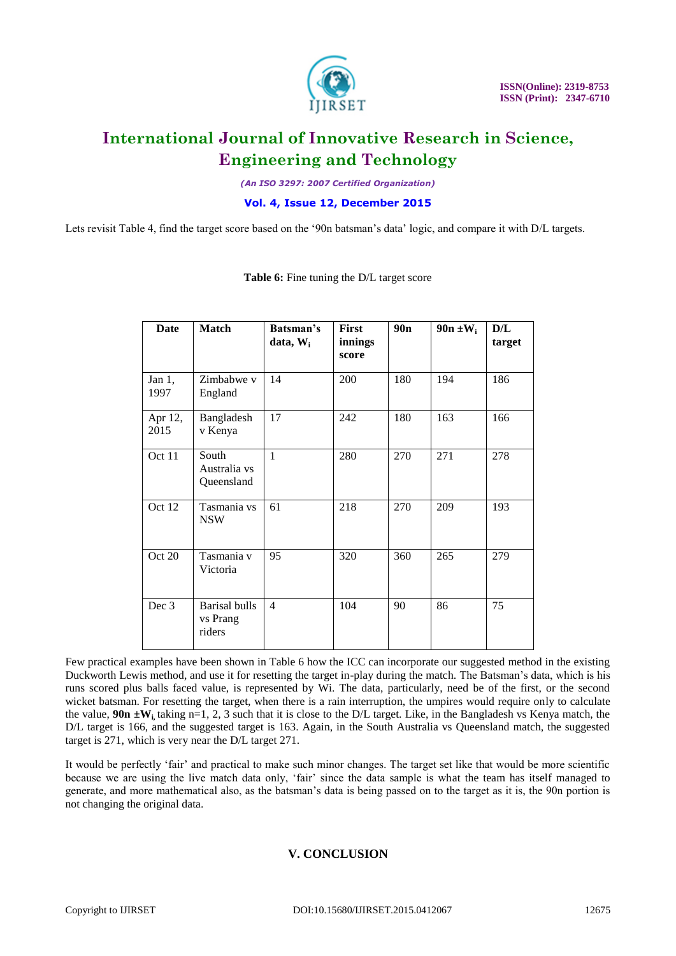

*(An ISO 3297: 2007 Certified Organization)*

**Vol. 4, Issue 12, December 2015**

Lets revisit Table 4, find the target score based on the '90n batsman's data' logic, and compare it with D/L targets.

| Date              | <b>Match</b>                               | Batsman's<br>$data, W_i$ | First<br>innings<br>score | 90n | $90n \pm W_i$ | D/L<br>target |
|-------------------|--------------------------------------------|--------------------------|---------------------------|-----|---------------|---------------|
| Jan $1$ ,<br>1997 | Zimbabwe v<br>England                      | 14                       | 200                       | 180 | 194           | 186           |
| Apr 12,<br>2015   | Bangladesh<br>v Kenya                      | 17                       | 242                       | 180 | 163           | 166           |
| Oct 11            | South<br>Australia vs<br>Queensland        | $\mathbf{1}$             | 280                       | 270 | 271           | 278           |
| Oct 12            | Tasmania vs<br><b>NSW</b>                  | 61                       | 218                       | 270 | 209           | 193           |
| Oct 20            | Tasmania v<br>Victoria                     | 95                       | 320                       | 360 | 265           | 279           |
| Dec 3             | <b>Barisal bulls</b><br>vs Prang<br>riders | $\overline{4}$           | 104                       | 90  | 86            | 75            |

**Table 6:** Fine tuning the D/L target score

Few practical examples have been shown in Table 6 how the ICC can incorporate our suggested method in the existing Duckworth Lewis method, and use it for resetting the target in-play during the match. The Batsman"s data, which is his runs scored plus balls faced value, is represented by Wi. The data, particularly, need be of the first, or the second wicket batsman. For resetting the target, when there is a rain interruption, the umpires would require only to calculate the value,  $90n \pm W_i$  taking n=1, 2, 3 such that it is close to the D/L target. Like, in the Bangladesh vs Kenya match, the D/L target is 166, and the suggested target is 163. Again, in the South Australia vs Queensland match, the suggested target is 271, which is very near the D/L target 271.

It would be perfectly "fair" and practical to make such minor changes. The target set like that would be more scientific because we are using the live match data only, "fair" since the data sample is what the team has itself managed to generate, and more mathematical also, as the batsman"s data is being passed on to the target as it is, the 90n portion is not changing the original data.

### **V. CONCLUSION**